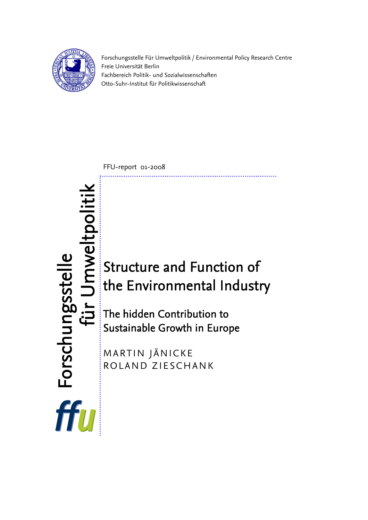

Forschungsstelle Für Umweltpolitik / Environmental Policy Research Centre Freie Universität Berlin Fachbereich Politik- und Sozialwissenschaften Otto-Suhr-Institut für Politikwissenschaft

FFU-report 01-2008

# Imweltpoliti für Umwelt Forschungsstelle Forschungsstelle Structure and Function of the Environmental Industry für The hidden Contribution to Sustainable Growth in Europe MARTIN JÄNICKE ROLAND ZIESCHANK

ffu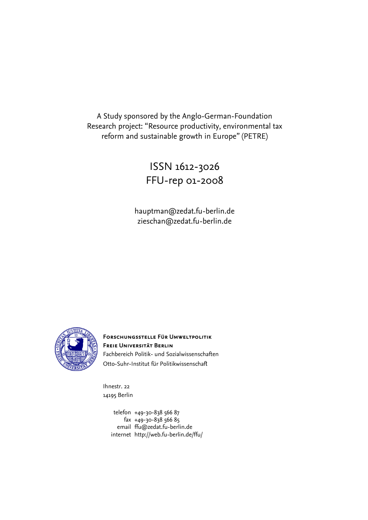A Study sponsored by the Anglo-German-Foundation Research project: "Resource productivity, environmental tax reform and sustainable growth in Europe" (PETRE)

> ISSN 1612-3026 FFU-rep 01-2008

hauptman@zedat.fu-berlin.de zieschan@zedat.fu-berlin.de



**Forschungsstelle Für Umweltpolitik Freie Universität Berlin**  Fachbereich Politik- und Sozialwissenschaften Otto-Suhr-Institut für Politikwissenschaft

Ihnestr. 22 14195 Berlin

> telefon +49-30-838 566 87 fax +49-30-838 566 85 email [ffu@zedat.fu-berlin.de](mailto:ffu@zedat.fu-berlin.de)  internet http://web.fu-berlin.de/ffu/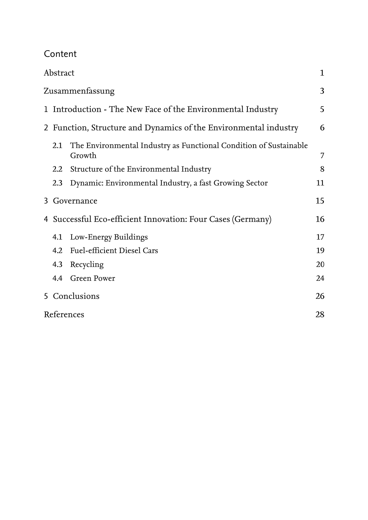Content

|                                                                  | Abstract |                                                                             | $\mathbf 1$ |
|------------------------------------------------------------------|----------|-----------------------------------------------------------------------------|-------------|
|                                                                  |          | Zusammenfassung                                                             | 3           |
|                                                                  |          | 1 Introduction - The New Face of the Environmental Industry                 | 5           |
| 2 Function, Structure and Dynamics of the Environmental industry |          |                                                                             |             |
|                                                                  | 2.1      | The Environmental Industry as Functional Condition of Sustainable<br>Growth | 7           |
|                                                                  | 2.2      | Structure of the Environmental Industry                                     | 8           |
|                                                                  | 2.3      | Dynamic: Environmental Industry, a fast Growing Sector                      | 11          |
|                                                                  |          | 3 Governance                                                                | 15          |
|                                                                  |          | 4 Successful Eco-efficient Innovation: Four Cases (Germany)                 | 16          |
|                                                                  |          | 4.1 Low-Energy Buildings                                                    | 17          |
|                                                                  |          | 4.2 Fuel-efficient Diesel Cars                                              | 19          |
|                                                                  |          | 4.3 Recycling                                                               | 20          |
|                                                                  |          | 4.4 Green Power                                                             | 24          |
|                                                                  |          | 5 Conclusions                                                               | 26          |
|                                                                  |          | References                                                                  | 28          |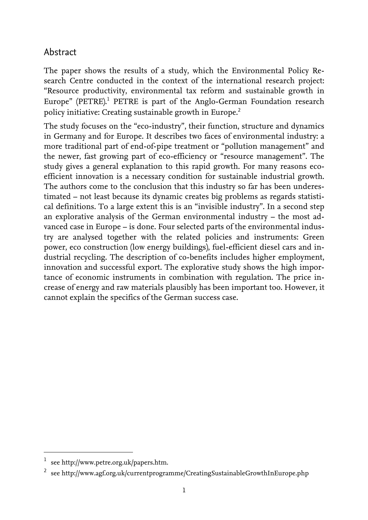## <span id="page-4-0"></span>Abstract

The paper shows the results of a study, which the Environmental Policy Research Centre conducted in the context of the international research project: "Resource productivity, environmental tax reform and sustainable growth in Europe"(PETRE).<sup>1</sup> PETRE is part of the Anglo-German Foundation research policy initiative: Creating sustainable growth in Europe.<sup>[2](#page-4-2)</sup>

The study focuses on the "eco-industry", their function, structure and dynamics in Germany and for Europe. It describes two faces of environmental industry: a more traditional part of end-of-pipe treatment or "pollution management" and the newer, fast growing part of eco-efficiency or "resource management". The study gives a general explanation to this rapid growth. For many reasons ecoefficient innovation is a necessary condition for sustainable industrial growth. The authors come to the conclusion that this industry so far has been underestimated – not least because its dynamic creates big problems as regards statistical definitions. To a large extent this is an "invisible industry". In a second step an explorative analysis of the German environmental industry – the most advanced case in Europe – is done. Four selected parts of the environmental industry are analysed together with the related policies and instruments: Green power, eco construction (low energy buildings), fuel-efficient diesel cars and industrial recycling. The description of co-benefits includes higher employment, innovation and successful export. The explorative study shows the high importance of economic instruments in combination with regulation. The price increase of energy and raw materials plausibly has been important too. However, it cannot explain the specifics of the German success case.

 $\overline{a}$ 

<span id="page-4-1"></span>see http://www.petre.org.uk/papers.htm.

<span id="page-4-2"></span><sup>2</sup> see http://www.agf.org.uk/currentprogramme/CreatingSustainableGrowthInEurope.php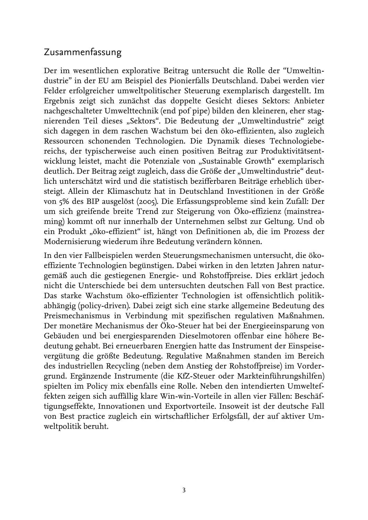#### <span id="page-6-0"></span>Zusammenfassung

Der im wesentlichen explorative Beitrag untersucht die Rolle der "Umweltindustrie" in der EU am Beispiel des Pionierfalls Deutschland. Dabei werden vier Felder erfolgreicher umweltpolitischer Steuerung exemplarisch dargestellt. Im Ergebnis zeigt sich zunächst das doppelte Gesicht dieses Sektors: Anbieter nachgeschalteter Umwelttechnik (end pof pipe) bilden den kleineren, eher stagnierenden Teil dieses "Sektors". Die Bedeutung der "Umweltindustrie" zeigt sich dagegen in dem raschen Wachstum bei den öko-effizienten, also zugleich Ressourcen schonenden Technologien. Die Dynamik dieses Technologiebereichs, der typischerweise auch einen positiven Beitrag zur Produktivitätsentwicklung leistet, macht die Potenziale von "Sustainable Growth" exemplarisch deutlich. Der Beitrag zeigt zugleich, dass die Größe der "Umweltindustrie" deutlich unterschätzt wird und die statistisch bezifferbaren Beiträge erheblich übersteigt. Allein der Klimaschutz hat in Deutschland Investitionen in der Größe von 5% des BIP ausgelöst (2005). Die Erfassungsprobleme sind kein Zufall: Der um sich greifende breite Trend zur Steigerung von Öko-effizienz (mainstreaming) kommt oft nur innerhalb der Unternehmen selbst zur Geltung. Und ob ein Produkt "öko-effizient" ist, hängt von Definitionen ab, die im Prozess der Modernisierung wiederum ihre Bedeutung verändern können.

In den vier Fallbeispielen werden Steuerungsmechanismen untersucht, die ökoeffiziente Technologien begünstigen. Dabei wirken in den letzten Jahren naturgemäß auch die gestiegenen Energie- und Rohstoffpreise. Dies erklärt jedoch nicht die Unterschiede bei dem untersuchten deutschen Fall von Best practice. Das starke Wachstum öko-effizienter Technologien ist offensichtlich politikabhängig (policy-driven). Dabei zeigt sich eine starke allgemeine Bedeutung des Preismechanismus in Verbindung mit spezifischen regulativen Maßnahmen. Der monetäre Mechanismus der Öko-Steuer hat bei der Energieeinsparung von Gebäuden und bei energiesparenden Dieselmotoren offenbar eine höhere Bedeutung gehabt. Bei erneuerbaren Energien hatte das Instrument der Einspeisevergütung die größte Bedeutung. Regulative Maßnahmen standen im Bereich des industriellen Recycling (neben dem Anstieg der Rohstoffpreise) im Vordergrund. Ergänzende Instrumente (die KfZ-Steuer oder Markteinführungshilfen) spielten im Policy mix ebenfalls eine Rolle. Neben den intendierten Umwelteffekten zeigen sich auffällig klare Win-win-Vorteile in allen vier Fällen: Beschäftigungseffekte, Innovationen und Exportvorteile. Insoweit ist der deutsche Fall von Best practice zugleich ein wirtschaftlicher Erfolgsfall, der auf aktiver Umweltpolitik beruht.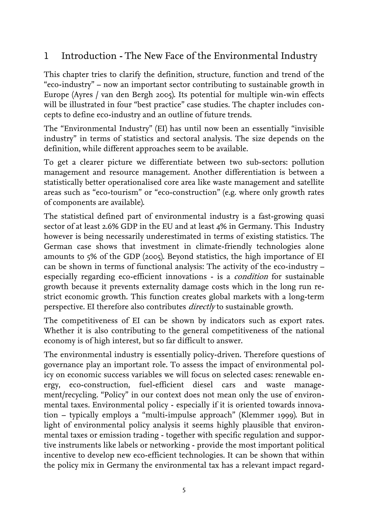# <span id="page-8-0"></span>1 Introduction - The New Face of the Environmental Industry

This chapter tries to clarify the definition, structure, function and trend of the "eco-industry" – now an important sector contributing to sustainable growth in Europe (Ayres / van den Bergh 2005). Its potential for multiple win-win effects will be illustrated in four "best practice" case studies. The chapter includes concepts to define eco-industry and an outline of future trends.

The "Environmental Industry" (EI) has until now been an essentially "invisible industry" in terms of statistics and sectoral analysis. The size depends on the definition, while different approaches seem to be available.

To get a clearer picture we differentiate between two sub-sectors: pollution management and resource management. Another differentiation is between a statistically better operationalised core area like waste management and satellite areas such as "eco-tourism" or "eco-construction" (e.g. where only growth rates of components are available).

The statistical defined part of environmental industry is a fast-growing quasi sector of at least 2.6% GDP in the EU and at least 4% in Germany. This Industry however is being necessarily underestimated in terms of existing statistics. The German case shows that investment in climate-friendly technologies alone amounts to 5% of the GDP (2005). Beyond statistics, the high importance of EI can be shown in terms of functional analysis: The activity of the eco-industry – especially regarding eco-efficient innovations - is a *condition* for sustainable growth because it prevents externality damage costs which in the long run restrict economic growth. This function creates global markets with a long-term perspective. EI therefore also contributes directly to sustainable growth.

The competitiveness of EI can be shown by indicators such as export rates. Whether it is also contributing to the general competitiveness of the national economy is of high interest, but so far difficult to answer.

The environmental industry is essentially policy-driven. Therefore questions of governance play an important role. To assess the impact of environmental policy on economic success variables we will focus on selected cases: renewable energy, eco-construction, fuel-efficient diesel cars and waste management/recycling. "Policy" in our context does not mean only the use of environmental taxes. Environmental policy - especially if it is oriented towards innovation – typically employs a "multi-impulse approach" (Klemmer 1999). But in light of environmental policy analysis it seems highly plausible that environmental taxes or emission trading - together with specific regulation and supportive instruments like labels or networking - provide the most important political incentive to develop new eco-efficient technologies. It can be shown that within the policy mix in Germany the environmental tax has a relevant impact regard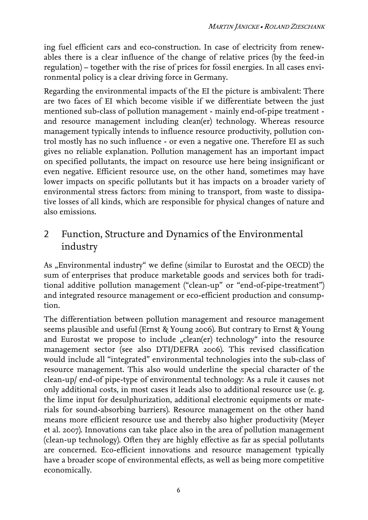ing fuel efficient cars and eco-construction. In case of electricity from renewables there is a clear influence of the change of relative prices (by the feed-in regulation) – together with the rise of prices for fossil energies. In all cases environmental policy is a clear driving force in Germany.

Regarding the environmental impacts of the EI the picture is ambivalent: There are two faces of EI which become visible if we differentiate between the just mentioned sub-class of pollution management - mainly end-of-pipe treatment and resource management including clean(er) technology. Whereas resource management typically intends to influence resource productivity, pollution control mostly has no such influence - or even a negative one. Therefore EI as such gives no reliable explanation. Pollution management has an important impact on specified pollutants, the impact on resource use here being insignificant or even negative. Efficient resource use, on the other hand, sometimes may have lower impacts on specific pollutants but it has impacts on a broader variety of environmental stress factors: from mining to transport, from waste to dissipative losses of all kinds, which are responsible for physical changes of nature and also emissions.

## <span id="page-9-0"></span>2 Function, Structure and Dynamics of the Environmental industry

As "Environmental industry" we define (similar to Eurostat and the OECD) the sum of enterprises that produce marketable goods and services both for traditional additive pollution management ("clean-up" or "end-of-pipe-treatment") and integrated resource management or eco-efficient production and consumption.

The differentiation between pollution management and resource management seems plausible and useful (Ernst & Young 2006). But contrary to Ernst & Young and Eurostat we propose to include "clean(er) technology" into the resource management sector (see also DTI/DEFRA 2006). This revised classification would include all "integrated" environmental technologies into the sub-class of resource management. This also would underline the special character of the clean-up/ end-of pipe-type of environmental technology: As a rule it causes not only additional costs, in most cases it leads also to additional resource use (e. g. the lime input for desulphurization, additional electronic equipments or materials for sound-absorbing barriers). Resource management on the other hand means more efficient resource use and thereby also higher productivity (Meyer et al. 2007). Innovations can take place also in the area of pollution management (clean-up technology). Often they are highly effective as far as special pollutants are concerned. Eco-efficient innovations and resource management typically have a broader scope of environmental effects, as well as being more competitive economically.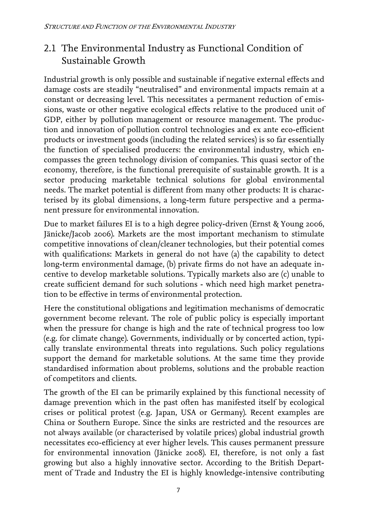# <span id="page-10-0"></span>2.1 The Environmental Industry as Functional Condition of Sustainable Growth

Industrial growth is only possible and sustainable if negative external effects and damage costs are steadily "neutralised" and environmental impacts remain at a constant or decreasing level. This necessitates a permanent reduction of emissions, waste or other negative ecological effects relative to the produced unit of GDP, either by pollution management or resource management. The production and innovation of pollution control technologies and ex ante eco-efficient products or investment goods (including the related services) is so far essentially the function of specialised producers: the environmental industry, which encompasses the green technology division of companies. This quasi sector of the economy, therefore, is the functional prerequisite of sustainable growth. It is a sector producing marketable technical solutions for global environmental needs. The market potential is different from many other products: It is characterised by its global dimensions, a long-term future perspective and a permanent pressure for environmental innovation.

Due to market failures EI is to a high degree policy-driven (Ernst & Young 2006, Jänicke/Jacob 2006). Markets are the most important mechanism to stimulate competitive innovations of clean/cleaner technologies, but their potential comes with qualifications: Markets in general do not have (a) the capability to detect long-term environmental damage, (b) private firms do not have an adequate incentive to develop marketable solutions. Typically markets also are (c) unable to create sufficient demand for such solutions - which need high market penetration to be effective in terms of environmental protection.

Here the constitutional obligations and legitimation mechanisms of democratic government become relevant. The role of public policy is especially important when the pressure for change is high and the rate of technical progress too low (e.g. for climate change). Governments, individually or by concerted action, typically translate environmental threats into regulations. Such policy regulations support the demand for marketable solutions. At the same time they provide standardised information about problems, solutions and the probable reaction of competitors and clients.

The growth of the EI can be primarily explained by this functional necessity of damage prevention which in the past often has manifested itself by ecological crises or political protest (e.g. Japan, USA or Germany). Recent examples are China or Southern Europe. Since the sinks are restricted and the resources are not always available (or characterised by volatile prices) global industrial growth necessitates eco-efficiency at ever higher levels. This causes permanent pressure for environmental innovation (Jänicke 2008). EI, therefore, is not only a fast growing but also a highly innovative sector. According to the British Department of Trade and Industry the EI is highly knowledge-intensive contributing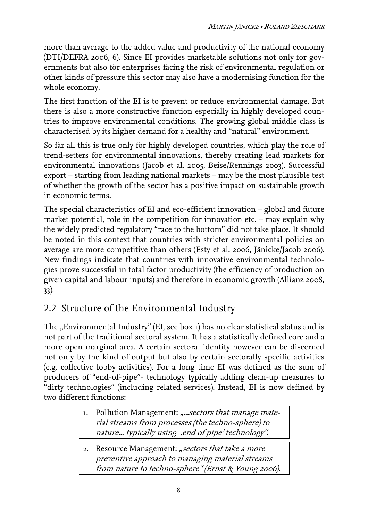more than average to the added value and productivity of the national economy (DTI/DEFRA 2006, 6). Since EI provides marketable solutions not only for governments but also for enterprises facing the risk of environmental regulation or other kinds of pressure this sector may also have a modernising function for the whole economy.

The first function of the EI is to prevent or reduce environmental damage. But there is also a more constructive function especially in highly developed countries to improve environmental conditions. The growing global middle class is characterised by its higher demand for a healthy and "natural" environment.

So far all this is true only for highly developed countries, which play the role of trend-setters for environmental innovations, thereby creating lead markets for environmental innovations (Jacob et al. 2005, Beise/Rennings 2003). Successful export – starting from leading national markets – may be the most plausible test of whether the growth of the sector has a positive impact on sustainable growth in economic terms.

The special characteristics of EI and eco-efficient innovation – global and future market potential, role in the competition for innovation etc. – may explain why the widely predicted regulatory "race to the bottom" did not take place. It should be noted in this context that countries with stricter environmental policies on average are more competitive than others (Esty et al. 2006, Jänicke/Jacob 2006). New findings indicate that countries with innovative environmental technologies prove successful in total factor productivity (the efficiency of production on given capital and labour inputs) and therefore in economic growth (Allianz 2008, 33).

## <span id="page-11-0"></span>2.2 Structure of the Environmental Industry

The "Environmental Industry" (EI, see box 1) has no clear statistical status and is not part of the traditional sectoral system. It has a statistically defined core and a more open marginal area. A certain sectoral identity however can be discerned not only by the kind of output but also by certain sectorally specific activities (e.g. collective lobby activities). For a long time EI was defined as the sum of producers of "end-of-pipe"- technology typically adding clean-up measures to "dirty technologies" (including related services). Instead, EI is now defined by two different functions:

- 1. Pollution Management: *"...sectors that manage mate*rial streams from processes (the techno-sphere) to nature... typically using , end of pipe' technology".
- 2. Resource Management: "sectors that take a more preventive approach to managing material streams from nature to techno-sphere" (Ernst & Young 2006).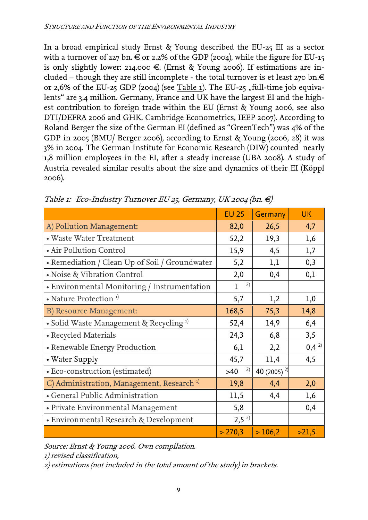In a broad empirical study Ernst & Young described the EU-25 EI as a sector with a turnover of 227 bn.  $\in$  or 2.2% of the GDP (2004), while the figure for EU-15 is only slightly lower: 214.000  $\epsilon$ . (Ernst & Young 2006). If estimations are included – though they are still incomplete - the total turnover is et least 270 bn. $\in$ or 2,6% of the EU-25 GDP (2004) (see Table 1). The EU-25  $,$  full-time job equivalents" are 3,4 million. Germany, France and UK have the largest EI and the highest contribution to foreign trade within the EU (Ernst & Young 2006, see also DTI/DEFRA 2006 and GHK, Cambridge Econometrics, IEEP 2007). According to Roland Berger the size of the German EI (defined as "GreenTech") was 4% of the GDP in 2005 (BMU/ Berger 2006), according to Ernst & Young (2006, 28) it was 3% in 2004. The German Institute for Economic Research (DIW) counted nearly 1,8 million employees in the EI, after a steady increase (UBA 2008). A study of Austria revealed similar results about the size and dynamics of their EI (Köppl 2006).

|                                                       | <b>EU 25</b>      | Germany          | <b>UK</b> |
|-------------------------------------------------------|-------------------|------------------|-----------|
| A) Pollution Management:                              | 82,0              | 26,5             | 4,7       |
| • Waste Water Treatment                               | 52,2              | 19,3             | 1,6       |
| • Air Pollution Control                               | 15,9              | 4,5              | 1,7       |
| • Remediation / Clean Up of Soil / Groundwater        | 5,2               | 1,1              | 0,3       |
| • Noise & Vibration Control                           | 2,0               | 0,4              | 0,1       |
| • Environmental Monitoring / Instrumentation          | 2)<br>$\mathbf 1$ |                  |           |
| • Nature Protection <sup>1)</sup>                     | 5,7               | 1,2              | 1,0       |
| B) Resource Management:                               | 168,5             | 75,3             | 14,8      |
| • Solid Waste Management & Recycling <sup>1)</sup>    | 52,4              | 14,9             | 6,4       |
| • Recycled Materials                                  | 24,3              | 6,8              | 3,5       |
| • Renewable Energy Production                         | 6,1               | 2,2              | $0,4^{2}$ |
| • Water Supply                                        | 45,7              | 11,4             | 4,5       |
| • Eco-construction (estimated)                        | 2)<br>$>40$       | 40 (2005) $^{2}$ |           |
| C) Administration, Management, Research <sup>1)</sup> | 19,8              | 4,4              | 2,0       |
| · General Public Administration                       | 11,5              | 4,4              | 1,6       |
| • Private Environmental Management                    | 5,8               |                  | 0,4       |
| • Environmental Research & Development                | $2,5^{2}$         |                  |           |
|                                                       | > 270,3           | >106,2           | >21,5     |

Table 1: Eco-Industry Turnover EU 25, Germany, UK 2004 (bn.  $\in$ )

Source: Ernst & Young 2006. Own compilation.

1) revised classification,

2) estimations (not included in the total amount of the study) in brackets.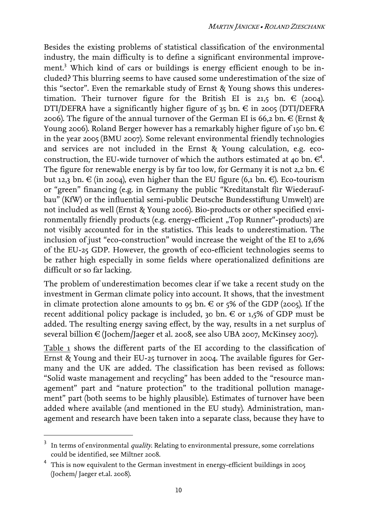Besides the existing problems of statistical classification of the environmental industry, the main difficulty is to define a significant environmental improve-ment.<sup>3</sup>Which kind of cars or buildings is energy efficient enough to be included? This blurring seems to have caused some underestimation of the size of this "sector". Even the remarkable study of Ernst & Young shows this underestimation. Their turnover figure for the British EI is 21,5 bn.  $\in$  (2004). DTI/DEFRA have a significantly higher figure of  $35$  bn.  $\in$  in 2005 (DTI/DEFRA 2006). The figure of the annual turnover of the German EI is 66,2 bn.  $\in$  (Ernst & Young 2006). Roland Berger however has a remarkably higher figure of 150 bn.  $\in$ in the year 2005 (BMU 2007). Some relevant environmental friendly technologies and services are not included in the Ernst & Young calculation, e.g. eco-construction, the EU-wide turnover of which the authors estimated at 40 bn[.](#page-13-1)  $\epsilon^4$ . The figure for renewable energy is by far too low, for Germany it is not 2,2 bn.  $\in$ but 12,3 bn.  $\in$  (in 2004), even higher than the EU figure (6,1 bn.  $\in$ ). Eco-tourism or "green" financing (e.g. in Germany the public "Kreditanstalt für Wiederaufbau" (KfW) or the influential semi-public Deutsche Bundesstiftung Umwelt) are not included as well (Ernst & Young 2006). Bio-products or other specified environmentally friendly products (e.g. energy-efficient "Top Runner"-products) are not visibly accounted for in the statistics. This leads to underestimation. The inclusion of just "eco-construction" would increase the weight of the EI to 2,6% of the EU-25 GDP. However, the growth of eco-efficient technologies seems to be rather high especially in some fields where operationalized definitions are difficult or so far lacking.

The problem of underestimation becomes clear if we take a recent study on the investment in German climate policy into account. It shows, that the investment in climate protection alone amounts to  $95$  bn.  $\in$  or  $5\%$  of the GDP (2005). If the recent additional policy package is included, 30 bn.  $\in$  or 1,5% of GDP must be added. The resulting energy saving effect, by the way, results in a net surplus of several billion € (Jochem/Jaeger et al. 2008, see also UBA 2007, McKinsey 2007).

Table 1 shows the different parts of the EI according to the classification of Ernst & Young and their EU-25 turnover in 2004. The available figures for Germany and the UK are added. The classification has been revised as follows: "Solid waste management and recycling" has been added to the "resource management" part and "nature protection" to the traditional pollution management" part (both seems to be highly plausible). Estimates of turnover have been added where available (and mentioned in the EU study). Administration, management and research have been taken into a separate class, because they have to

<span id="page-13-0"></span> $^3$  In terms of environmental *quality.* Relating to environmental pressure, some correlations could be identified, see Miltner 2008.

<span id="page-13-1"></span><sup>4</sup> This is now equivalent to the German investment in energy-efficient buildings in 2005 (Jochem/ Jaeger et.al. 2008).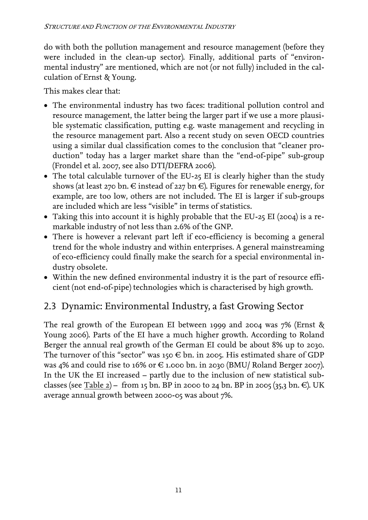do with both the pollution management and resource management (before they were included in the clean-up sector). Finally, additional parts of "environmental industry" are mentioned, which are not (or not fully) included in the calculation of Ernst & Young.

This makes clear that:

- The environmental industry has two faces: traditional pollution control and resource management, the latter being the larger part if we use a more plausible systematic classification, putting e.g. waste management and recycling in the resource management part. Also a recent study on seven OECD countries using a similar dual classification comes to the conclusion that "cleaner production" today has a larger market share than the "end-of-pipe" sub-group (Frondel et al. 2007, see also DTI/DEFRA 2006).
- The total calculable turnover of the EU-25 EI is clearly higher than the study shows (at least 270 bn.  $\in$  instead of 227 bn  $\in$ ). Figures for renewable energy, for example, are too low, others are not included. The EI is larger if sub-groups are included which are less "visible" in terms of statistics.
- Taking this into account it is highly probable that the EU-25 EI (2004) is a remarkable industry of not less than 2.6% of the GNP.
- There is however a relevant part left if eco-efficiency is becoming a general trend for the whole industry and within enterprises. A general mainstreaming of eco-efficiency could finally make the search for a special environmental industry obsolete.
- Within the new defined environmental industry it is the part of resource efficient (not end-of-pipe) technologies which is characterised by high growth.

# <span id="page-14-0"></span>2.3 Dynamic: Environmental Industry, a fast Growing Sector

The real growth of the European EI between 1999 and 2004 was 7% (Ernst & Young 2006). Parts of the EI have a much higher growth. According to Roland Berger the annual real growth of the German EI could be about 8% up to 2030. The turnover of this "sector" was 150  $\in$  bn. in 2005. His estimated share of GDP was 4% and could rise to 16% or € 1.000 bn. in 2030 (BMU/ Roland Berger 2007). In the UK the EI increased – partly due to the inclusion of new statistical subclasses (see Table 2) – from 15 bn. BP in 2000 to 24 bn. BP in 2005 (35,3 bn.  $\in$ ). UK average annual growth between 2000-05 was about 7%.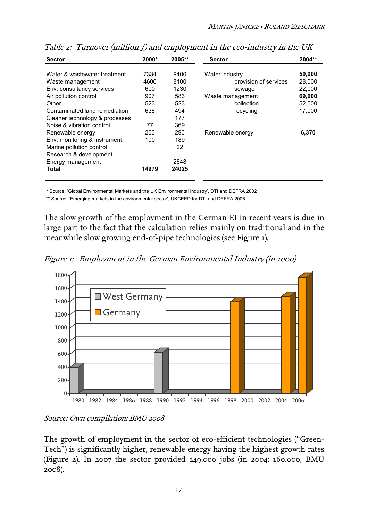| <b>Sector</b>                                    | 2000*        | 2005**       | <b>Sector</b>                           | $2004**$         |
|--------------------------------------------------|--------------|--------------|-----------------------------------------|------------------|
| Water & wastewater treatment<br>Waste management | 7334<br>4600 | 9400<br>8100 | Water industry<br>provision of services | 50,000<br>28,000 |
| Env. consultancy services                        | 600          | 1230         | sewage                                  | 22,000           |
| Air pollution control                            | 907          | 583          | Waste management                        | 69,000           |
| Other                                            | 523          | 523          | collection                              | 52,000           |
| Contaminated land remediation                    | 638          | 494          | recycling                               | 17,000           |
| Cleaner technology & processes                   |              | 177          |                                         |                  |
| Noise & vibration control                        | 77           | 369          |                                         |                  |
| Renewable energy                                 | 200          | 290          | Renewable energy                        | 6,370            |
| Env. monitoring & instrument.                    | 100          | 189          |                                         |                  |
| Marine pollution control                         |              | 22           |                                         |                  |
| Research & development                           |              |              |                                         |                  |
| Energy management                                |              | 2648         |                                         |                  |
| Total                                            | 14979        | 24025        |                                         |                  |
|                                                  |              |              |                                         |                  |

Table 2: Turnover (million  $\hat{L}$ ) and employment in the eco-industry in the UK

\* Source: 'Global Environmental Markets and the UK Environmental Industry', DTI and DEFRA 2002

\*\* Source: 'Emerging markets in the environmental sector', UKCEED for DTI and DEFRA 2006

The slow growth of the employment in the German EI in recent years is due in large part to the fact that the calculation relies mainly on traditional and in the meanwhile slow growing end-of-pipe technologies (see Figure 1).

Figure 1: Employment in the German Environmental Industry (in 1000)



Source: Own compilation; BMU 2008

The growth of employment in the sector of eco-efficient technologies ("Green-Tech") is significantly higher, renewable energy having the highest growth rates (Figure 2). In 2007 the sector provided 249.000 jobs (in 2004: 160.000, BMU 2008).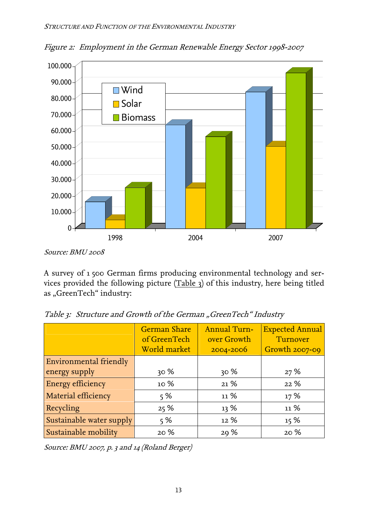

Figure 2: Employment in the German Renewable Energy Sector 1998-2007

A survey of 1 500 German firms producing environmental technology and services provided the following picture (Table 3) of this industry, here being titled as "GreenTech" industry:

|                          | <b>German Share</b><br>of GreenTech<br>World market | Annual Turn-<br>over Growth<br>2004-2006 | <b>Expected Annual</b><br>Turnover<br>Growth $2007 - 09$ |
|--------------------------|-----------------------------------------------------|------------------------------------------|----------------------------------------------------------|
| Environmental friendly   |                                                     |                                          |                                                          |
| energy supply            | 30%                                                 | 30%                                      | 27%                                                      |
| Energy efficiency        | 10 %                                                | 21%                                      | 22%                                                      |
| Material efficiency      | 5%                                                  | 11%                                      | 17%                                                      |
| Recycling                | 25%                                                 | 13%                                      | 11%                                                      |
| Sustainable water supply | 5%                                                  | 12%                                      | 15%                                                      |
| Sustainable mobility     | 20 %                                                | 29 %                                     | 20%                                                      |

Table 3: Structure and Growth of the German "GreenTech" Industry

Source: BMU 2007, p. 3 and 14 (Roland Berger)

Source: BMU 2008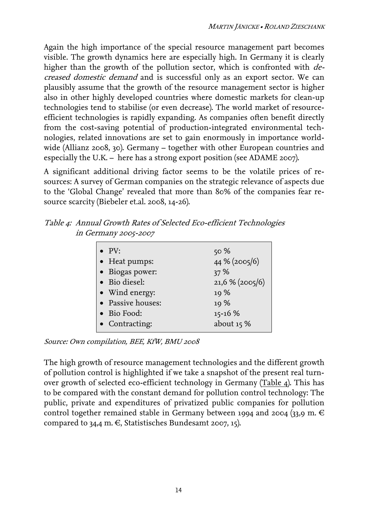Again the high importance of the special resource management part becomes visible. The growth dynamics here are especially high. In Germany it is clearly higher than the growth of the pollution sector, which is confronted with decreased domestic demand and is successful only as an export sector. We can plausibly assume that the growth of the resource management sector is higher also in other highly developed countries where domestic markets for clean-up technologies tend to stabilise (or even decrease). The world market of resourceefficient technologies is rapidly expanding. As companies often benefit directly from the cost-saving potential of production-integrated environmental technologies, related innovations are set to gain enormously in importance worldwide (Allianz 2008, 30). Germany – together with other European countries and especially the U.K. – here has a strong export position (see ADAME 2007).

A significant additional driving factor seems to be the volatile prices of resources: A survey of German companies on the strategic relevance of aspects due to the 'Global Change' revealed that more than 80% of the companies fear resource scarcity (Biebeler et.al. 2008, 14-26).

Table 4: Annual Growth Rates of Selected Eco-efficient Technologies in Germany 2005-2007

| $\bullet$ PV:     | 50%              |
|-------------------|------------------|
| • Heat pumps:     | 44 % (2005/6)    |
| • Biogas power:   | 37%              |
| • Bio diesel:     | $21,6%$ (2005/6) |
| • Wind energy:    | 19%              |
| • Passive houses: | 10%              |
| • Bio Food:       | $15 - 16$ %      |
| • Contracting:    | about $15%$      |
|                   |                  |

Source: Own compilation, BEE, KfW, BMU 2008

The high growth of resource management technologies and the different growth of pollution control is highlighted if we take a snapshot of the present real turnover growth of selected eco-efficient technology in Germany (Table 4). This has to be compared with the constant demand for pollution control technology: The public, private and expenditures of privatized public companies for pollution control together remained stable in Germany between 1994 and 2004 (33,9 m.  $\in$ compared to 34,4 m.  $\in$ , Statistisches Bundesamt 2007, 15).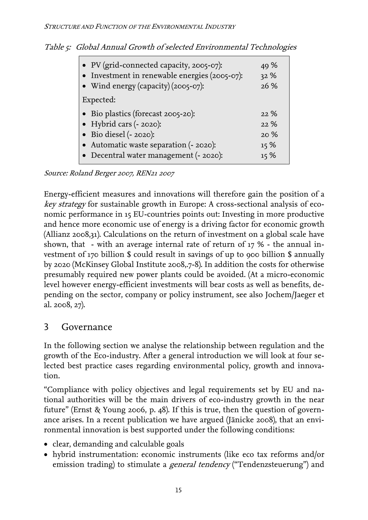|  |  | Table 5: Global Annual Growth of selected Environmental Technologies |  |  |
|--|--|----------------------------------------------------------------------|--|--|
|--|--|----------------------------------------------------------------------|--|--|

| • PV (grid-connected capacity, 2005-07):<br>• Investment in renewable energies (2005-07):<br>• Wind energy (capacity) (2005-07): | 49 %<br>32 %<br>26 % |  |
|----------------------------------------------------------------------------------------------------------------------------------|----------------------|--|
| Expected:                                                                                                                        |                      |  |
| • Bio plastics (forecast 2005-20):                                                                                               | 22%                  |  |
| • Hybrid cars (- 2020):                                                                                                          | 22%                  |  |
| $\bullet$ Bio diesel (- 2020):                                                                                                   | 20%                  |  |
| • Automatic waste separation (- 2020):                                                                                           | 15%                  |  |
| • Decentral water management (- 2020):                                                                                           | 15%                  |  |

Source: Roland Berger 2007, REN21 2007

Energy-efficient measures and innovations will therefore gain the position of a key strategy for sustainable growth in Europe: A cross-sectional analysis of economic performance in 15 EU-countries points out: Investing in more productive and hence more economic use of energy is a driving factor for economic growth (Allianz 2008,31). Calculations on the return of investment on a global scale have shown, that - with an average internal rate of return of 17 % - the annual investment of 170 billion \$ could result in savings of up to 900 billion \$ annually by 2020 (McKinsey Global Institute 2008,.7-8). In addition the costs for otherwise presumably required new power plants could be avoided. (At a micro-economic level however energy-efficient investments will bear costs as well as benefits, depending on the sector, company or policy instrument, see also Jochem/Jaeger et al. 2008, 27).

#### <span id="page-18-0"></span>3 Governance

In the following section we analyse the relationship between regulation and the growth of the Eco-industry. After a general introduction we will look at four selected best practice cases regarding environmental policy, growth and innovation.

"Compliance with policy objectives and legal requirements set by EU and national authorities will be the main drivers of eco-industry growth in the near future" (Ernst & Young 2006, p. 48). If this is true, then the question of governance arises. In a recent publication we have argued (Jänicke 2008), that an environmental innovation is best supported under the following conditions:

- clear, demanding and calculable goals
- hybrid instrumentation: economic instruments (like eco tax reforms and/or emission trading) to stimulate a *general tendency* ("Tendenzsteuerung") and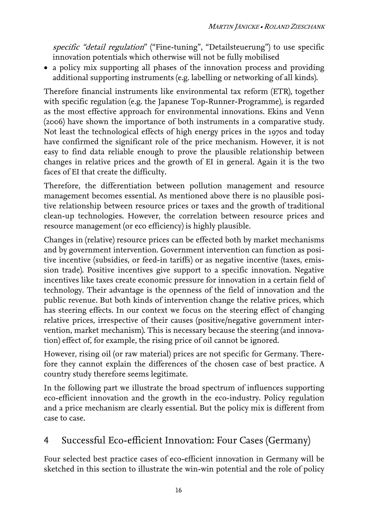specific "detail regulation" ("Fine-tuning", "Detailsteuerung") to use specific innovation potentials which otherwise will not be fully mobilised

• a policy mix supporting all phases of the innovation process and providing additional supporting instruments (e.g. labelling or networking of all kinds).

Therefore financial instruments like environmental tax reform (ETR), together with specific regulation (e.g. the Japanese Top-Runner-Programme), is regarded as the most effective approach for environmental innovations. Ekins and Venn (2006) have shown the importance of both instruments in a comparative study. Not least the technological effects of high energy prices in the 1970s and today have confirmed the significant role of the price mechanism. However, it is not easy to find data reliable enough to prove the plausible relationship between changes in relative prices and the growth of EI in general. Again it is the two faces of EI that create the difficulty.

Therefore, the differentiation between pollution management and resource management becomes essential. As mentioned above there is no plausible positive relationship between resource prices or taxes and the growth of traditional clean-up technologies. However, the correlation between resource prices and resource management (or eco efficiency) is highly plausible.

Changes in (relative) resource prices can be effected both by market mechanisms and by government intervention. Government intervention can function as positive incentive (subsidies, or feed-in tariffs) or as negative incentive (taxes, emission trade). Positive incentives give support to a specific innovation. Negative incentives like taxes create economic pressure for innovation in a certain field of technology. Their advantage is the openness of the field of innovation and the public revenue. But both kinds of intervention change the relative prices, which has steering effects. In our context we focus on the steering effect of changing relative prices, irrespective of their causes (positive/negative government intervention, market mechanism). This is necessary because the steering (and innovation) effect of, for example, the rising price of oil cannot be ignored.

However, rising oil (or raw material) prices are not specific for Germany. Therefore they cannot explain the differences of the chosen case of best practice. A country study therefore seems legitimate.

In the following part we illustrate the broad spectrum of influences supporting eco-efficient innovation and the growth in the eco-industry. Policy regulation and a price mechanism are clearly essential. But the policy mix is different from case to case.

# <span id="page-19-0"></span>4 Successful Eco-efficient Innovation: Four Cases (Germany)

Four selected best practice cases of eco-efficient innovation in Germany will be sketched in this section to illustrate the win-win potential and the role of policy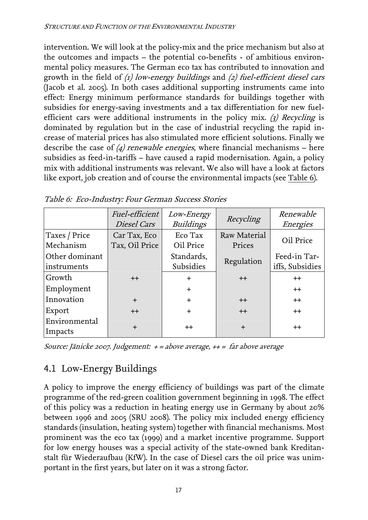intervention. We will look at the policy-mix and the price mechanism but also at the outcomes and impacts – the potential co-benefits - of ambitious environmental policy measures. The German eco tax has contributed to innovation and growth in the field of  $\langle 1 \rangle$  low-energy buildings and  $\langle 2 \rangle$  fuel-efficient diesel cars (Jacob et al. 2005). In both cases additional supporting instruments came into effect: Energy minimum performance standards for buildings together with subsidies for energy-saving investments and a tax differentiation for new fuelefficient cars were additional instruments in the policy mix. (3) Recycling is dominated by regulation but in the case of industrial recycling the rapid increase of material prices has also stimulated more efficient solutions. Finally we describe the case of  $\Delta$  renewable energies, where financial mechanisms – here subsidies as feed-in-tariffs – have caused a rapid modernisation. Again, a policy mix with additional instruments was relevant. We also will have a look at factors like export, job creation and of course the environmental impacts (see Table 6).

|                               | Fuel-efficient<br>Diesel Cars  | Low-Energy<br><b>Buildings</b> | Recycling              | Renewable<br>Energies           |
|-------------------------------|--------------------------------|--------------------------------|------------------------|---------------------------------|
| Taxes / Price<br>Mechanism    | Car Tax, Eco<br>Tax, Oil Price | Eco Tax<br>Oil Price           | Raw Material<br>Prices | Oil Price                       |
| Other dominant<br>instruments |                                | Standards,<br>Subsidies        | Regulation             | Feed-in Tar-<br>iffs, Subsidies |
| Growth                        | $++$                           | $\ddot{}$                      | $++$                   | $++$                            |
| Employment                    |                                | $\ddot{}$                      |                        | $++$                            |
| Innovation                    | $+$                            | $\ddot{}$                      | $++$                   | $++$                            |
| Export                        | $++$                           | $\ddot{}$                      | $++$                   | $^{++}$                         |
| Environmental<br>Impacts      | $\div$                         | $^{++}$                        | $\div$                 | $^{\mathrm{++}}$                |

Source: Jänicke 2007. Judgement: + = above average, ++ = far above average

## <span id="page-20-0"></span>4.1 Low-Energy Buildings

A policy to improve the energy efficiency of buildings was part of the climate programme of the red-green coalition government beginning in 1998. The effect of this policy was a reduction in heating energy use in Germany by about 20% between 1996 and 2005 (SRU 2008). The policy mix included energy efficiency standards (insulation, heating system) together with financial mechanisms. Most prominent was the eco tax (1999) and a market incentive programme. Support for low energy houses was a special activity of the state-owned bank Kreditanstalt für Wiederaufbau (KfW). In the case of Diesel cars the oil price was unimportant in the first years, but later on it was a strong factor.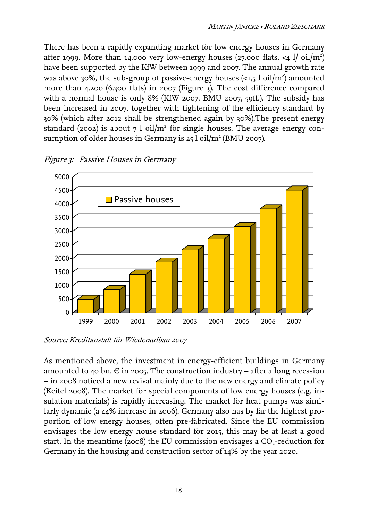There has been a rapidly expanding market for low energy houses in Germany after 1999. More than 14.000 very low-energy houses (27.000 flats, <4  $1/$  oil/m<sup>2</sup>) have been supported by the KfW between 1999 and 2007. The annual growth rate was above 30%, the sub-group of passive-energy houses  $\langle$ <1,5 l oil/m<sup>2</sup>) amounted more than 4.200 (6.300 flats) in 2007 (Figure 3). The cost difference compared with a normal house is only 8% (KfW 2007, BMU 2007, 59ff.). The subsidy has been increased in 2007, together with tightening of the efficiency standard by 30% (which after 2012 shall be strengthened again by 30%).The present energy standard (2002) is about 7 l oil/m<sup>2</sup> for single houses. The average energy consumption of older houses in Germany is 25  $1$  oil/m<sup>2</sup> (BMU 2007).



Figure 3: Passive Houses in Germany

Source: Kreditanstalt für Wiederaufbau 2007

As mentioned above, the investment in energy-efficient buildings in Germany amounted to 40 bn.  $\in$  in 2005. The construction industry – after a long recession – in 2008 noticed a new revival mainly due to the new energy and climate policy (Keitel 2008). The market for special components of low energy houses (e.g. insulation materials) is rapidly increasing. The market for heat pumps was similarly dynamic (a 44% increase in 2006). Germany also has by far the highest proportion of low energy houses, often pre-fabricated. Since the EU commission envisages the low energy house standard for 2015, this may be at least a good start. In the meantime (2008) the EU commission envisages a  $CO<sub>2</sub>$ -reduction for Germany in the housing and construction sector of 14% by the year 2020.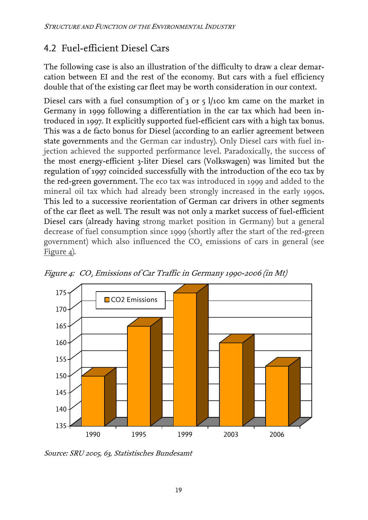# <span id="page-22-0"></span>4.2 Fuel-efficient Diesel Cars

The following case is also an illustration of the difficulty to draw a clear demarcation between EI and the rest of the economy. But cars with a fuel efficiency double that of the existing car fleet may be worth consideration in our context.

Diesel cars with a fuel consumption of  $3$  or  $5$  l/100 km came on the market in Germany in 1999 following a differentiation in the car tax which had been introduced in 1997. It explicitly supported fuel-efficient cars with a high tax bonus. This was a de facto bonus for Diesel (according to an earlier agreement between state governments and the German car industry). Only Diesel cars with fuel injection achieved the supported performance level. Paradoxically, the success of the most energy-efficient 3-liter Diesel cars (Volkswagen) was limited but the regulation of 1997 coincided successfully with the introduction of the eco tax by the red-green government. The eco tax was introduced in 1999 and added to the mineral oil tax which had already been strongly increased in the early 1990s. This led to a successive reorientation of German car drivers in other segments of the car fleet as well. The result was not only a market success of fuel-efficient Diesel cars (already having strong market position in Germany) but a general decrease of fuel consumption since 1999 (shortly after the start of the red-green government) which also influenced the  $CO<sub>2</sub>$  emissions of cars in general (see Figure 4).



Figure 4: CO<sub>2</sub> Emissions of Car Traffic in Germany 1990-2006 (in Mt)

Source: SRU 2005, 63, Statistisches Bundesamt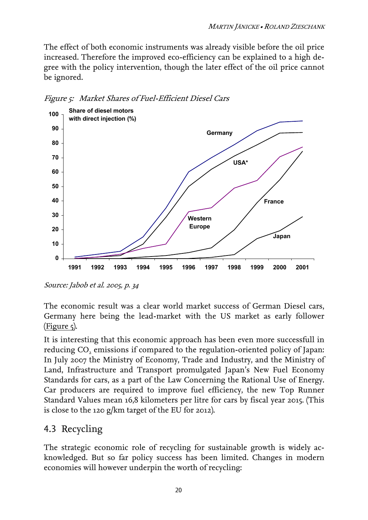The effect of both economic instruments was already visible before the oil price increased. Therefore the improved eco-efficiency can be explained to a high degree with the policy intervention, though the later effect of the oil price cannot be ignored.



Figure 5: Market Shares of Fuel-Efficient Diesel Cars

The economic result was a clear world market success of German Diesel cars, Germany here being the lead-market with the US market as early follower  $(Figure 5)$ .

It is interesting that this economic approach has been even more successfull in reducing  $CO<sub>2</sub>$  emissions if compared to the regulation-oriented policy of Japan: In July 2007 the Ministry of Economy, Trade and Industry, and the Ministry of Land, Infrastructure and Transport promulgated Japan's New Fuel Economy Standards for cars, as a part of the Law Concerning the Rational Use of Energy. Car producers are required to improve fuel efficiency, the new Top Runner Standard Values mean 16,8 kilometers per litre for cars by fiscal year 2015. (This is close to the 120 g/km target of the EU for 2012).

## <span id="page-23-0"></span>4.3 Recycling

The strategic economic role of recycling for sustainable growth is widely acknowledged. But so far policy success has been limited. Changes in modern economies will however underpin the worth of recycling:

Source: Jabob et al. 2005, p. 34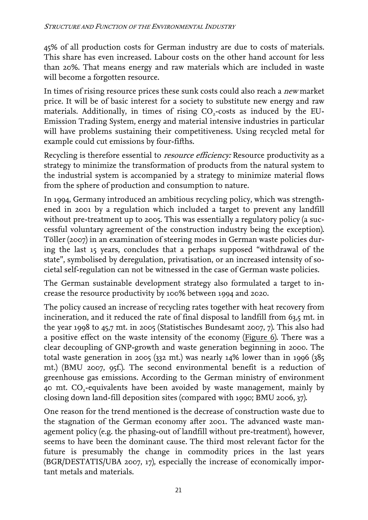45% of all production costs for German industry are due to costs of materials. This share has even increased. Labour costs on the other hand account for less than 20%. That means energy and raw materials which are included in waste will become a forgotten resource.

In times of rising resource prices these sunk costs could also reach a new market price. It will be of basic interest for a society to substitute new energy and raw materials. Additionally, in times of rising CO<sub>2</sub>-costs as induced by the EU-Emission Trading System, energy and material intensive industries in particular will have problems sustaining their competitiveness. Using recycled metal for example could cut emissions by four-fifths.

Recycling is therefore essential to *resource efficiency*: Resource productivity as a strategy to minimize the transformation of products from the natural system to the industrial system is accompanied by a strategy to minimize material flows from the sphere of production and consumption to nature.

In 1994, Germany introduced an ambitious recycling policy, which was strengthened in 2001 by a regulation which included a target to prevent any landfill without pre-treatment up to 2005. This was essentially a regulatory policy (a successful voluntary agreement of the construction industry being the exception). Töller (2007) in an examination of steering modes in German waste policies during the last 15 years, concludes that a perhaps supposed "withdrawal of the state", symbolised by deregulation, privatisation, or an increased intensity of societal self-regulation can not be witnessed in the case of German waste policies.

The German sustainable development strategy also formulated a target to increase the resource productivity by 100% between 1994 and 2020.

The policy caused an increase of recycling rates together with heat recovery from incineration, and it reduced the rate of final disposal to landfill from 63,5 mt. in the year 1998 to 45,7 mt. in 2005 (Statistisches Bundesamt 2007, 7). This also had a positive effect on the waste intensity of the economy (Figure 6). There was a clear decoupling of GNP-growth and waste generation beginning in 2000. The total waste generation in 2005 (332 mt.) was nearly 14% lower than in 1996 (385 mt.) (BMU 2007, 95f.). The second environmental benefit is a reduction of greenhouse gas emissions. According to the German ministry of environment 40 mt. CO<sub>2</sub>-equivalents have been avoided by waste management, mainly by closing down land-fill deposition sites (compared with 1990; BMU 2006, 37).

One reason for the trend mentioned is the decrease of construction waste due to the stagnation of the German economy after 2001. The advanced waste management policy (e.g. the phasing-out of landfill without pre-treatment), however, seems to have been the dominant cause. The third most relevant factor for the future is presumably the change in commodity prices in the last years (BGR/DESTATIS/UBA 2007, 17), especially the increase of economically important metals and materials.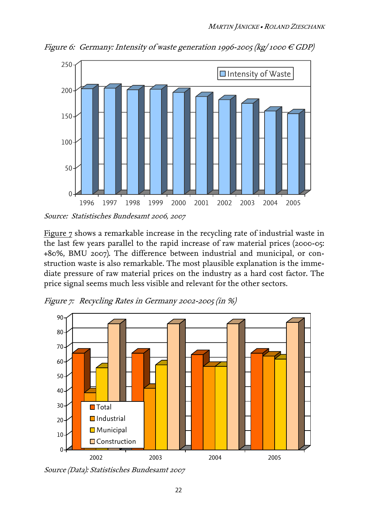

Figure 6: Germany: Intensity of waste generation 1996-2005 (kg/1000  $\in$  GDP)

Source: Statistisches Bundesamt 2006, 2007

Figure 7 shows a remarkable increase in the recycling rate of industrial waste in the last few years parallel to the rapid increase of raw material prices (2000-05: +80%, BMU 2007). The difference between industrial and municipal, or construction waste is also remarkable. The most plausible explanation is the immediate pressure of raw material prices on the industry as a hard cost factor. The price signal seems much less visible and relevant for the other sectors.

Figure 7: Recycling Rates in Germany 2002-2005 (in %)



Source (Data): Statistisches Bundesamt 2007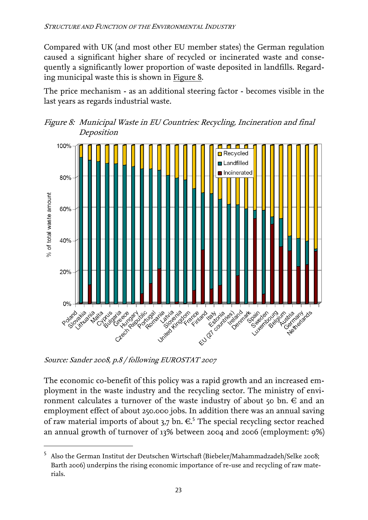Compared with UK (and most other EU member states) the German regulation caused a significant higher share of recycled or incinerated waste and consequently a significantly lower proportion of waste deposited in landfills. Regarding municipal waste this is shown in Figure 8.

The price mechanism - as an additional steering factor - becomes visible in the last years as regards industrial waste.





Source: Sander 2008, p.8 / following EUROSTAT 2007

 $\overline{a}$ 

The economic co-benefit of this policy was a rapid growth and an increased employment in the waste industry and the recycling sector. The ministry of environment calculates a turnover of the waste industry of about 50 bn.  $\in$  and an employment effect of about 250.000 jobs. In addition there was an annual saving ofraw material imports of about 3,7 bn.  $\in$ <sup>5</sup> The special recycling sector reached an annual growth of turnover of 13% between 2004 and 2006 (employment: 9%)

<span id="page-26-0"></span><sup>5</sup> Also the German Institut der Deutschen Wirtschaft (Biebeler/Mahammadzadeh/Selke 2008; Barth 2006) underpins the rising economic importance of re-use and recycling of raw materials.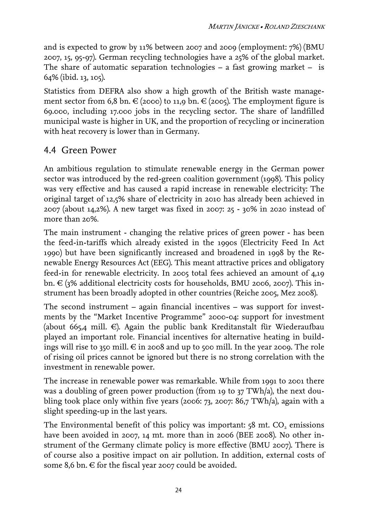and is expected to grow by 11% between 2007 and 2009 (employment: 7%) (BMU 2007, 15, 95-97). German recycling technologies have a 25% of the global market. The share of automatic separation technologies  $-$  a fast growing market  $-$  is 64% (ibid. 13, 105).

Statistics from DEFRA also show a high growth of the British waste management sector from 6,8 bn.  $\in$  (2000) to 11,9 bn.  $\in$  (2005). The employment figure is 69.000, including 17.000 jobs in the recycling sector. The share of landfilled municipal waste is higher in UK, and the proportion of recycling or incineration with heat recovery is lower than in Germany.

#### <span id="page-27-0"></span>4.4 Green Power

An ambitious regulation to stimulate renewable energy in the German power sector was introduced by the red-green coalition government (1998). This policy was very effective and has caused a rapid increase in renewable electricity: The original target of 12,5% share of electricity in 2010 has already been achieved in 2007 (about 14,2%). A new target was fixed in 2007: 25 - 30% in 2020 instead of more than 20%.

The main instrument - changing the relative prices of green power - has been the feed-in-tariffs which already existed in the 1990s (Electricity Feed In Act 1990) but have been significantly increased and broadened in 1998 by the Renewable Energy Resources Act (EEG). This meant attractive prices and obligatory feed-in for renewable electricity. In 2005 total fees achieved an amount of 4,19 bn.  $\in$  (3% additional electricity costs for households, BMU 2006, 2007). This instrument has been broadly adopted in other countries (Reiche 2005, Mez 2008).

The second instrument – again financial incentives – was support for investments by the "Market Incentive Programme" 2000-04: support for investment (about 665,4 mill.  $\in$ ). Again the public bank Kreditanstalt für Wiederaufbau played an important role. Financial incentives for alternative heating in buildings will rise to 350 mill.  $\epsilon$  in 2008 and up to 500 mill. In the year 2009. The role of rising oil prices cannot be ignored but there is no strong correlation with the investment in renewable power.

The increase in renewable power was remarkable. While from 1991 to 2001 there was a doubling of green power production (from 19 to 37 TWh/a), the next doubling took place only within five years (2006: 73, 2007: 86,7 TWh/a), again with a slight speeding-up in the last years.

The Environmental benefit of this policy was important:  $58$  mt.  $CO<sub>2</sub>$  emissions have been avoided in 2007, 14 mt. more than in 2006 (BEE 2008). No other instrument of the Germany climate policy is more effective (BMU 2007). There is of course also a positive impact on air pollution. In addition, external costs of some 8,6 bn.  $\in$  for the fiscal year 2007 could be avoided.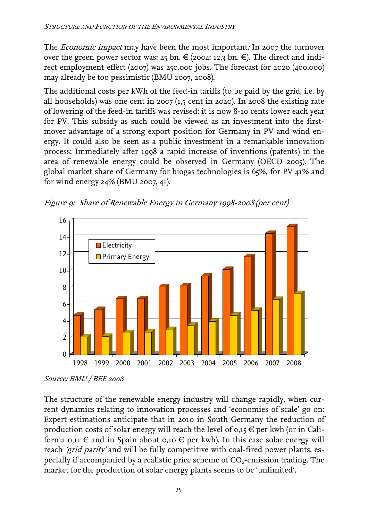The *Economic impact* may have been the most important: In 2007 the turnover over the green power sector was:  $25 \text{ bn} \in (2004: 12,3 \text{ bn} \in \mathbb{C})$ . The direct and indirect employment effect (2007) was 250.000 jobs. The forecast for 2020 (400.000) may already be too pessimistic (BMU 2007, 2008).

The additional costs per kWh of the feed-in tariffs (to be paid by the grid, i.e. by all households) was one cent in 2007 (1,5 cent in 2020). In 2008 the existing rate of lowering of the feed-in tariffs was revised; it is now 8-10 cents lower each year for PV. This subsidy as such could be viewed as an investment into the firstmover advantage of a strong export position for Germany in PV and wind energy. It could also be seen as a public investment in a remarkable innovation process: Immediately after 1998 a rapid increase of inventions (patents) in the area of renewable energy could be observed in Germany (OECD 2005). The global market share of Germany for biogas technologies is 65%, for PV 41% and for wind energy 24% (BMU 2007, 41).





Source: BMU / BEE 2008

The structure of the renewable energy industry will change rapidly, when current dynamics relating to innovation processes and 'economies of scale' go on: Expert estimations anticipate that in 2010 in South Germany the reduction of production costs of solar energy will reach the level of  $o,15 \notin$  per kwh (or in California 0,11  $\in$  and in Spain about 0,10  $\in$  per kwh). In this case solar energy will reach 'grid parity' and will be fully competitive with coal-fired power plants, especially if accompanied by a realistic price scheme of CO<sub>2</sub>-emission trading. The market for the production of solar energy plants seems to be 'unlimited'.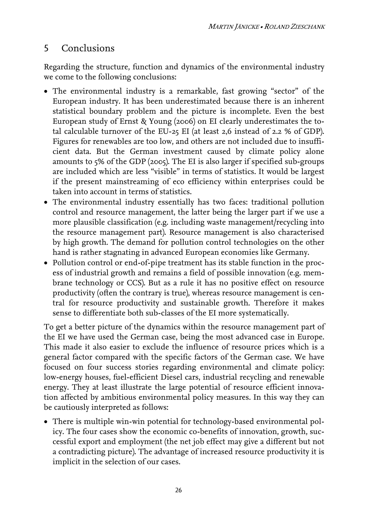## <span id="page-29-0"></span>5 Conclusions

Regarding the structure, function and dynamics of the environmental industry we come to the following conclusions:

- The environmental industry is a remarkable, fast growing "sector" of the European industry. It has been underestimated because there is an inherent statistical boundary problem and the picture is incomplete. Even the best European study of Ernst & Young (2006) on EI clearly underestimates the total calculable turnover of the EU-25 EI (at least 2,6 instead of 2.2 % of GDP). Figures for renewables are too low, and others are not included due to insufficient data. But the German investment caused by climate policy alone amounts to 5% of the GDP (2005). The EI is also larger if specified sub-groups are included which are less "visible" in terms of statistics. It would be largest if the present mainstreaming of eco efficiency within enterprises could be taken into account in terms of statistics.
- The environmental industry essentially has two faces: traditional pollution control and resource management, the latter being the larger part if we use a more plausible classification (e.g. including waste management/recycling into the resource management part). Resource management is also characterised by high growth. The demand for pollution control technologies on the other hand is rather stagnating in advanced European economies like Germany.
- Pollution control or end-of-pipe treatment has its stable function in the process of industrial growth and remains a field of possible innovation (e.g. membrane technology or CCS). But as a rule it has no positive effect on resource productivity (often the contrary is true), whereas resource management is central for resource productivity and sustainable growth. Therefore it makes sense to differentiate both sub-classes of the EI more systematically.

To get a better picture of the dynamics within the resource management part of the EI we have used the German case, being the most advanced case in Europe. This made it also easier to exclude the influence of resource prices which is a general factor compared with the specific factors of the German case. We have focused on four success stories regarding environmental and climate policy: low-energy houses, fuel-efficient Diesel cars, industrial recycling and renewable energy. They at least illustrate the large potential of resource efficient innovation affected by ambitious environmental policy measures. In this way they can be cautiously interpreted as follows:

• There is multiple win-win potential for technology-based environmental policy. The four cases show the economic co-benefits of innovation, growth, successful export and employment (the net job effect may give a different but not a contradicting picture). The advantage of increased resource productivity it is implicit in the selection of our cases.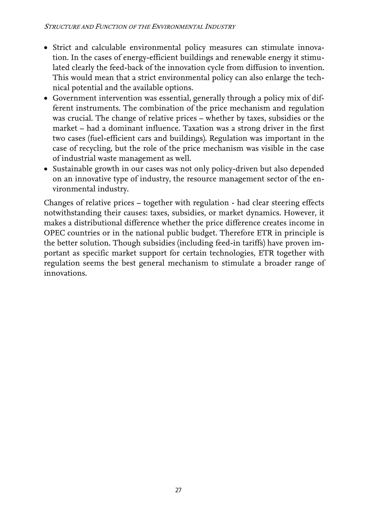- Strict and calculable environmental policy measures can stimulate innovation. In the cases of energy-efficient buildings and renewable energy it stimulated clearly the feed-back of the innovation cycle from diffusion to invention. This would mean that a strict environmental policy can also enlarge the technical potential and the available options.
- Government intervention was essential, generally through a policy mix of different instruments. The combination of the price mechanism and regulation was crucial. The change of relative prices – whether by taxes, subsidies or the market – had a dominant influence. Taxation was a strong driver in the first two cases (fuel-efficient cars and buildings). Regulation was important in the case of recycling, but the role of the price mechanism was visible in the case of industrial waste management as well.
- Sustainable growth in our cases was not only policy-driven but also depended on an innovative type of industry, the resource management sector of the environmental industry.

Changes of relative prices – together with regulation - had clear steering effects notwithstanding their causes: taxes, subsidies, or market dynamics. However, it makes a distributional difference whether the price difference creates income in OPEC countries or in the national public budget. Therefore ETR in principle is the better solution. Though subsidies (including feed-in tariffs) have proven important as specific market support for certain technologies, ETR together with regulation seems the best general mechanism to stimulate a broader range of innovations.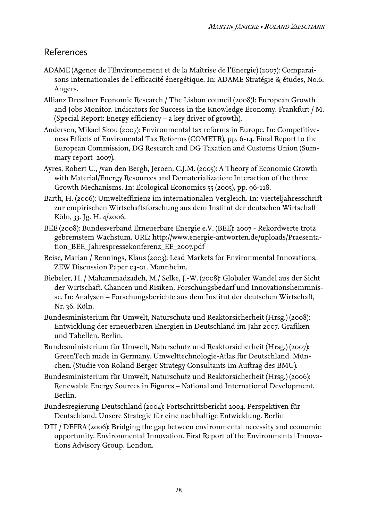#### <span id="page-31-0"></span>References

- ADAME (Agence de l'Environnement et de la Maîtrise de l'Energie) (2007): Comparaisons internationales de l'efficacité énergétique. In: ADAME Stratégie & études, No.6. Angers.
- Allianz Dresdner Economic Research / The Lisbon council (2008)l: European Growth and Jobs Monitor. Indicators for Success in the Knowledge Economy. Frankfurt / M. (Special Report: Energy efficiency – a key driver of growth).
- Andersen, Mikael Skou (2007): Environmental tax reforms in Europe. In: Competitiveness Effects of Environental Tax Reforms (COMETR), pp. 6-14. Final Report to the European Commission, DG Research and DG Taxation and Customs Union (Summary report 2007).
- Ayres, Robert U., /van den Bergh, Jeroen, C.J.M. (2005): A Theory of Economic Growth with Material/Energy Resources and Dematerialization: Interaction of the three Growth Mechanisms. In: Ecological Economics 55 (2005), pp. 96-118.
- Barth, H. (2006): Umwelteffizienz im internationalen Vergleich. In: Vierteljahresschrift zur empirischen Wirtschaftsforschung aus dem Institut der deutschen Wirtschaft Köln, 33. Jg. H. 4/2006.
- BEE (2008): Bundesverband Erneuerbare Energie e.V. (BEE): 2007 Rekordwerte trotz gebremstem Wachstum. URL: http://www.energie-antworten.de/uploads/Praesentation\_BEE\_Jahrespressekonferenz\_EE\_2007.pdf
- Beise, Marian / Rennings, Klaus (2003): Lead Markets for Environmental Innovations, ZEW Discussion Paper 03-01. Mannheim.
- Biebeler, H. / Mahammadzadeh, M./ Selke, J.-W. (2008): Globaler Wandel aus der Sicht der Wirtschaft. Chancen und Risiken, Forschungsbedarf und Innovationshemmnisse. In: Analysen – Forschungsberichte aus dem Institut der deutschen Wirtschaft, Nr. 36. Köln.
- Bundesministerium für Umwelt, Naturschutz und Reaktorsicherheit (Hrsg.) (2008): Entwicklung der erneuerbaren Energien in Deutschland im Jahr 2007. Grafiken und Tabellen. Berlin.
- Bundesministerium für Umwelt, Naturschutz und Reaktorsicherheit (Hrsg.) (2007): GreenTech made in Germany. Umwelttechnologie-Atlas für Deutschland. München. (Studie von Roland Berger Strategy Consultants im Auftrag des BMU).
- Bundesministerium für Umwelt, Naturschutz und Reaktorsicherheit (Hrsg.) (2006): Renewable Energy Sources in Figures – National and International Development. Berlin.
- Bundesregierung Deutschland (2004): Fortschrittsbericht 2004. Perspektiven für Deutschland. Unsere Strategie für eine nachhaltige Entwicklung. Berlin
- DTI / DEFRA (2006): Bridging the gap between environmental necessity and economic opportunity. Environmental Innovation. First Report of the Environmental Innovations Advisory Group. London.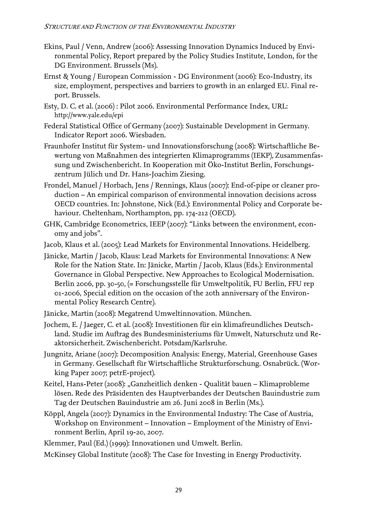- Ekins, Paul / Venn, Andrew (2006): Assessing Innovation Dynamics Induced by Environmental Policy, Report prepared by the Policy Studies Institute, London, for the DG Environment. Brussels (Ms).
- Ernst & Young / European Commission DG Environment (2006): Eco-Industry, its size, employment, perspectives and barriers to growth in an enlarged EU. Final report. Brussels.
- Esty, D. C. et al. (2006) : Pilot 2006. Environmental Performance Index, URL: http://[www.yale.edu/epi](http://www.yale.edu/epi)
- Federal Statistical Office of Germany (2007): Sustainable Development in Germany. Indicator Report 2006. Wiesbaden.
- Fraunhofer Institut für System- und Innovationsforschung (2008): Wirtschaftliche Bewertung von Maßnahmen des integrierten Klimaprogramms (IEKP), Zusammenfassung und Zwischenbericht. In Kooperation mit Öko-Institut Berlin, Forschungszentrum Jülich und Dr. Hans-Joachim Ziesing.
- Frondel, Manuel / Horbach, Jens / Rennings, Klaus (2007): End-of-pipe or cleaner production – An empirical comparison of environmental innovation decisions across OECD countries. In: Johnstone, Nick (Ed.): Environmental Policy and Corporate behaviour. Cheltenham, Northampton, pp. 174-212 (OECD).
- GHK, Cambridge Econometrics, IEEP (2007): "Links between the environment, economy and jobs".
- Jacob, Klaus et al. (2005): Lead Markets for Environmental Innovations. Heidelberg.
- Jänicke, Martin / Jacob, Klaus: Lead Markets for Environmental Innovations: A New Role for the Nation State. In: Jänicke, Martin / Jacob, Klaus (Eds.): Environmental Governance in Global Perspective. New Approaches to Ecological Modernisation. Berlin 2006, pp. 30-50, (= Forschungsstelle für Umweltpolitik, FU Berlin, FFU rep 01-2006, Special edition on the occasion of the 20th anniversary of the Environmental Policy Research Centre).
- Jänicke, Martin (2008): Megatrend Umweltinnovation. München.
- Jochem, E. / Jaeger, C. et al. (2008): Investitionen für ein klimafreundliches Deutschland. Studie im Auftrag des Bundesministeriums für Umwelt, Naturschutz und Reaktorsicherheit. Zwischenbericht. Potsdam/Karlsruhe.
- Jungnitz, Ariane (2007): Decomposition Analysis: Energy, Material, Greenhouse Gases in Germany. Gesellschaft für Wirtschaftliche Strukturforschung. Osnabrück. (Working Paper 2007; petrE-project).
- Keitel, Hans-Peter (2008): "Ganzheitlich denken Qualität bauen Klimaprobleme lösen. Rede des Präsidenten des Hauptverbandes der Deutschen Bauindustrie zum Tag der Deutschen Bauindustrie am 26. Juni 2008 in Berlin (Ms.).
- Köppl, Angela (2007): Dynamics in the Environmental Industry: The Case of Austria, Workshop on Environment – Innovation – Employment of the Ministry of Environment Berlin, April 19-20, 2007.
- Klemmer, Paul (Ed.) (1999): Innovationen und Umwelt. Berlin.
- McKinsey Global Institute (2008): The Case for Investing in Energy Productivity.